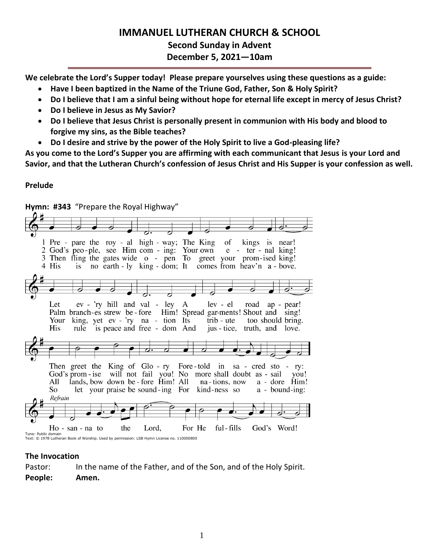# **IMMANUEL LUTHERAN CHURCH & SCHOOL**

**Second Sunday in Advent December 5, 2021—10am**

**We celebrate the Lord's Supper today! Please prepare yourselves using these questions as a guide:**

- **Have I been baptized in the Name of the Triune God, Father, Son & Holy Spirit?**
- **Do I believe that I am a sinful being without hope for eternal life except in mercy of Jesus Christ?**
- **Do I believe in Jesus as My Savior?**
- **Do I believe that Jesus Christ is personally present in communion with His body and blood to forgive my sins, as the Bible teaches?**
- **Do I desire and strive by the power of the Holy Spirit to live a God-pleasing life?**

**As you come to the Lord's Supper you are affirming with each communicant that Jesus is your Lord and Savior, and that the Lutheran Church's confession of Jesus Christ and His Supper is your confession as well.**

# **Prelude**

**Hymn: #343** "Prepare the Royal Highway" 1 Pre - pare the roy - al high - way; The King of kings is near! 2 God's peo-ple, see Him com - ing: Your own  $e$  - ter - nal king! 2 God's pco-pic, see Tim com - ing. Tour own e - ter - har king:<br>3 Then fling the gates wide o - pen To greet your prom-ised king! no earth - ly king - dom; It comes from heav'n a - bove. 4 His is Let  $ev - 'ry$  hill and val - ley A lev - el road ap - pear! Palm branch-es strew be-fore Him! Spread gar-ments! Shout and sing! king, yet ev - 'ry na - tion Its trib - ute Your too should bring. His rule is peace and free - dom And jus - tice, truth, and love. Then greet the King of  $Glo$ -ry Fore-told in sa - cred sto - ry: God's prom - ise will not fail you! No more shall doubt as - sail vou! All lands, bow down be - fore Him! All na-tions, now a - dore Him! So let your praise be sound-ing For kind-ness so  $a - bound-ing$ : Refrain For He ful - fills God's Word!  $Ho - san - na to$ the Lord, Tune: Public domain Text: © 1978 Lutheran Book of Worship. Used by permission: LSB Hymn License no. 110000800

# **The Invocation**

Pastor: In the name of the Father, and of the Son, and of the Holy Spirit. **People: Amen.**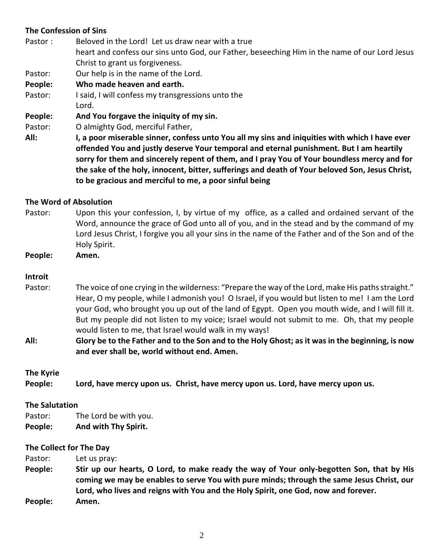# **The Confession of Sins**

Pastor : Beloved in the Lord! Let us draw near with a true heart and confess our sins unto God, our Father, beseeching Him in the name of our Lord Jesus Christ to grant us forgiveness.

Pastor: Our help is in the name of the Lord.

# **People: Who made heaven and earth.**

Pastor: I said, I will confess my transgressions unto the Lord.

**People: And You forgave the iniquity of my sin.**

Pastor: O almighty God, merciful Father,

**All: I, a poor miserable sinner, confess unto You all my sins and iniquities with which I have ever offended You and justly deserve Your temporal and eternal punishment. But I am heartily sorry for them and sincerely repent of them, and I pray You of Your boundless mercy and for the sake of the holy, innocent, bitter, sufferings and death of Your beloved Son, Jesus Christ, to be gracious and merciful to me, a poor sinful being**

#### **The Word of Absolution**

Pastor: Upon this your confession, I, by virtue of my office, as a called and ordained servant of the Word, announce the grace of God unto all of you, and in the stead and by the command of my Lord Jesus Christ, I forgive you all your sins in the name of the Father and of the Son and of the Holy Spirit.

**People: Amen.**

#### **Introit**

Pastor: The voice of one crying in the wilderness: "Prepare the way of the Lord, make His paths straight." Hear, O my people, while I admonish you! O Israel, if you would but listen to me! I am the Lord your God, who brought you up out of the land of Egypt. Open you mouth wide, and I will fill it. But my people did not listen to my voice; Israel would not submit to me. Oh, that my people would listen to me, that Israel would walk in my ways!

**All: Glory be to the Father and to the Son and to the Holy Ghost; as it was in the beginning, is now and ever shall be, world without end. Amen.**

#### **The Kyrie**

**People: Lord, have mercy upon us. Christ, have mercy upon us. Lord, have mercy upon us.**

#### **The Salutation**

Pastor: The Lord be with you.

**People: And with Thy Spirit.**

#### **The Collect for The Day**

Pastor: Let us pray:

**People: Stir up our hearts, O Lord, to make ready the way of Your only-begotten Son, that by His coming we may be enables to serve You with pure minds; through the same Jesus Christ, our Lord, who lives and reigns with You and the Holy Spirit, one God, now and forever. People: Amen.**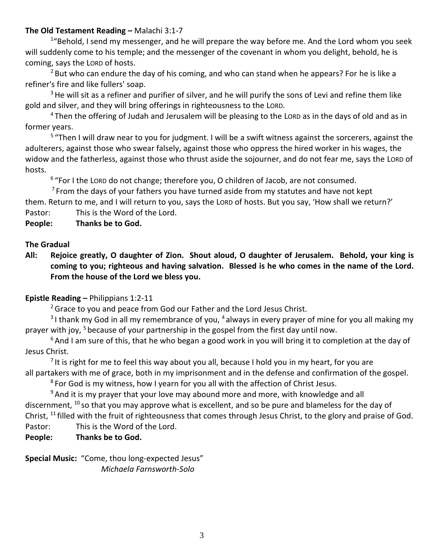# **The Old Testament Reading –** Malachi 3:1-7

<sup>1</sup>"Behold, I send my messenger, and he will prepare the way before me. And the Lord whom you seek will suddenly come to his temple; and the messenger of the covenant in whom you delight, behold, he is coming, says the LORD of hosts.

 $2$  But who can endure the day of his coming, and who can stand when he appears? For he is like a refiner's fire and like fullers' soap.

 $3$  He will sit as a refiner and purifier of silver, and he will purify the sons of Levi and refine them like gold and silver, and they will bring offerings in righteousness to the LORD.

<sup>4</sup> Then the offering of Judah and Jerusalem will be pleasing to the LORD as in the days of old and as in former years.

<sup>5</sup> "Then I will draw near to you for judgment. I will be a swift witness against the sorcerers, against the adulterers, against those who swear falsely, against those who oppress the hired worker in his wages, the widow and the fatherless, against those who thrust aside the sojourner, and do not fear me, says the LORD of hosts.

<sup>6</sup> "For I the Lorp do not change; therefore you, O children of Jacob, are not consumed.

 $7$  From the days of your fathers you have turned aside from my statutes and have not kept

them. Return to me, and I will return to you, says the LORD of hosts. But you say, 'How shall we return?' Pastor: This is the Word of the Lord.

**People: Thanks be to God.**

# **The Gradual**

**All: Rejoice greatly, O daughter of Zion. Shout aloud, O daughter of Jerusalem. Behold, your king is coming to you; righteous and having salvation. Blessed is he who comes in the name of the Lord. From the house of the Lord we bless you.**

# **Epistle Reading –** Philippians 1:2-11

<sup>2</sup> Grace to you and peace from God our Father and the Lord Jesus Christ.

<sup>3</sup>I thank my God in all my remembrance of you, <sup>4</sup> always in every prayer of mine for you all making my prayer with joy, <sup>5</sup> because of your partnership in the gospel from the first day until now.

 $6$ And I am sure of this, that he who began a good work in you will bring it to completion at the day of Jesus Christ.

<sup>7</sup> It is right for me to feel this way about you all, because I hold you in my heart, for you are all partakers with me of grace, both in my imprisonment and in the defense and confirmation of the gospel.

 $8$  For God is my witness, how I yearn for you all with the affection of Christ Jesus.

 $9$ And it is my prayer that your love may abound more and more, with knowledge and all discernment, <sup>10</sup> so that you may approve what is excellent, and so be pure and blameless for the day of Christ, <sup>11</sup> filled with the fruit of righteousness that comes through Jesus Christ, to the glory and praise of God.

Pastor: This is the Word of the Lord.

# **People: Thanks be to God.**

**Special Music:** "Come, thou long-expected Jesus" *Michaela Farnsworth-Solo*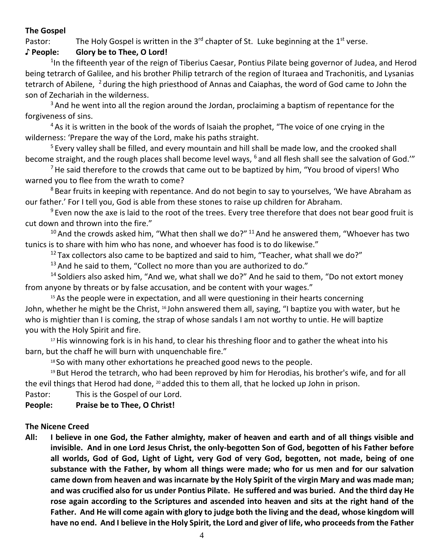# **The Gospel**

Pastor: The Holy Gospel is written in the 3<sup>rd</sup> chapter of St. Luke beginning at the 1<sup>st</sup> verse.

# **♪ People: Glory be to Thee, O Lord!**

<sup>1</sup>In the fifteenth year of the reign of Tiberius Caesar, Pontius Pilate being governor of Judea, and Herod being tetrarch of Galilee, and his brother Philip tetrarch of the region of Ituraea and Trachonitis, and Lysanias tetrarch of Abilene, <sup>2</sup> during the high priesthood of Annas and Caiaphas, the word of God came to John the son of Zechariah in the wilderness.

 $3$  And he went into all the region around the Jordan, proclaiming a baptism of repentance for the forgiveness of sins.

<sup>4</sup> As it is written in the book of the words of Isaiah the prophet, "The voice of one crying in the wilderness: 'Prepare the way of the Lord, make his paths straight.

<sup>5</sup> Every valley shall be filled, and every mountain and hill shall be made low, and the crooked shall become straight, and the rough places shall become level ways, <sup>6</sup> and all flesh shall see the salvation of God.'"

 $7$  He said therefore to the crowds that came out to be baptized by him, "You brood of vipers! Who warned you to flee from the wrath to come?

<sup>8</sup> Bear fruits in keeping with repentance. And do not begin to say to yourselves, 'We have Abraham as our father.' For I tell you, God is able from these stones to raise up children for Abraham.

<sup>9</sup> Even now the axe is laid to the root of the trees. Every tree therefore that does not bear good fruit is cut down and thrown into the fire."

 $10$  And the crowds asked him, "What then shall we do?"  $11$  And he answered them, "Whoever has two tunics is to share with him who has none, and whoever has food is to do likewise."

 $12$  Tax collectors also came to be baptized and said to him, "Teacher, what shall we do?"

 $13$  And he said to them, "Collect no more than you are authorized to do."

 $14$  Soldiers also asked him, "And we, what shall we do?" And he said to them, "Do not extort money from anyone by threats or by false accusation, and be content with your wages."

<sup>15</sup> As the people were in expectation, and all were questioning in their hearts concerning John, whether he might be the Christ, <sup>16</sup> John answered them all, saying, "I baptize you with water, but he who is mightier than I is coming, the strap of whose sandals I am not worthy to untie. He will baptize you with the Holy Spirit and fire.

<sup>17</sup> His winnowing fork is in his hand, to clear his threshing floor and to gather the wheat into his barn, but the chaff he will burn with unquenchable fire."

<sup>18</sup> So with many other exhortations he preached good news to the people.

<sup>19</sup> But Herod the tetrarch, who had been reproved by him for Herodias, his brother's wife, and for all the evil things that Herod had done, <sup>20</sup> added this to them all, that he locked up John in prison.

Pastor: This is the Gospel of our Lord.

**People: Praise be to Thee, O Christ!**

# **The Nicene Creed**

**All: I believe in one God, the Father almighty, maker of heaven and earth and of all things visible and invisible. And in one Lord Jesus Christ, the only-begotten Son of God, begotten of his Father before all worlds, God of God, Light of Light, very God of very God, begotten, not made, being of one substance with the Father, by whom all things were made; who for us men and for our salvation came down from heaven and was incarnate by the Holy Spirit of the virgin Mary and was made man; and was crucified also for us under Pontius Pilate. He suffered and was buried. And the third day He rose again according to the Scriptures and ascended into heaven and sits at the right hand of the Father. And He will come again with glory to judge both the living and the dead, whose kingdom will have no end. And I believe in the Holy Spirit, the Lord and giver of life, who proceeds from the Father**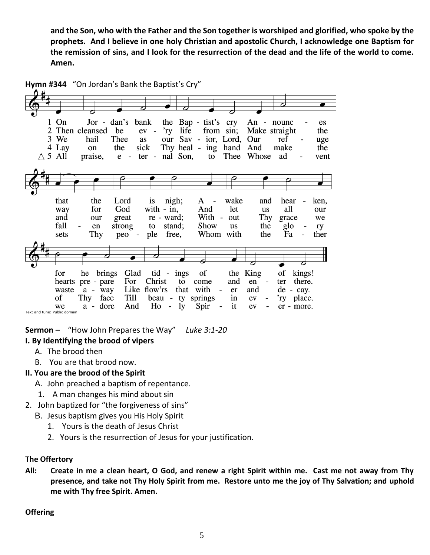**and the Son, who with the Father and the Son together is worshiped and glorified, who spoke by the prophets. And I believe in one holy Christian and apostolic Church, I acknowledge one Baptism for the remission of sins, and I look for the resurrection of the dead and the life of the world to come. Amen.**



**Sermon –** "How John Prepares the Way" *Luke 3:1-20*

# **I. By Identifying the brood of vipers**

- A. The brood then
- B. You are that brood now.

# **II. You are the brood of the Spirit**

- A. John preached a baptism of repentance.
- 1. A man changes his mind about sin
- 2. John baptized for "the forgiveness of sins"
	- B. Jesus baptism gives you His Holy Spirit
		- 1. Yours is the death of Jesus Christ
		- 2. Yours is the resurrection of Jesus for your justification.

#### **The Offertory**

**All: Create in me a clean heart, O God, and renew a right Spirit within me. Cast me not away from Thy presence, and take not Thy Holy Spirit from me. Restore unto me the joy of Thy Salvation; and uphold me with Thy free Spirit. Amen.**

# **Offering**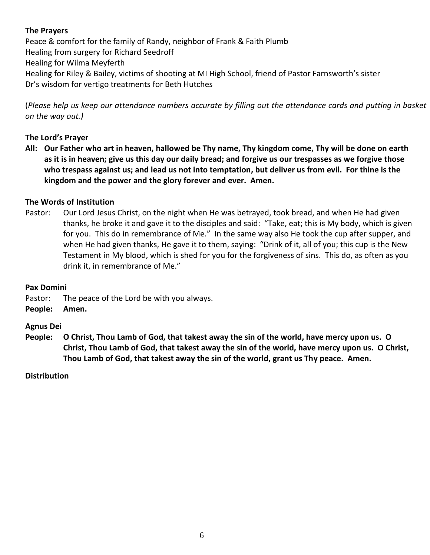# **The Prayers**

Peace & comfort for the family of Randy, neighbor of Frank & Faith Plumb Healing from surgery for Richard Seedroff Healing for Wilma Meyferth Healing for Riley & Bailey, victims of shooting at MI High School, friend of Pastor Farnsworth's sister Dr's wisdom for vertigo treatments for Beth Hutches

(*Please help us keep our attendance numbers accurate by filling out the attendance cards and putting in basket on the way out.)*

# **The Lord's Prayer**

**All: Our Father who art in heaven, hallowed be Thy name, Thy kingdom come, Thy will be done on earth as it is in heaven; give us this day our daily bread; and forgive us our trespasses as we forgive those who trespass against us; and lead us not into temptation, but deliver us from evil. For thine is the kingdom and the power and the glory forever and ever. Amen.**

# **The Words of Institution**

Pastor: Our Lord Jesus Christ, on the night when He was betrayed, took bread, and when He had given thanks, he broke it and gave it to the disciples and said: "Take, eat; this is My body, which is given for you. This do in remembrance of Me." In the same way also He took the cup after supper, and when He had given thanks, He gave it to them, saying: "Drink of it, all of you; this cup is the New Testament in My blood, which is shed for you for the forgiveness of sins. This do, as often as you drink it, in remembrance of Me."

# **Pax Domini**

Pastor: The peace of the Lord be with you always.

**People: Amen.**

# **Agnus Dei**

**People: O Christ, Thou Lamb of God, that takest away the sin of the world, have mercy upon us. O Christ, Thou Lamb of God, that takest away the sin of the world, have mercy upon us. O Christ, Thou Lamb of God, that takest away the sin of the world, grant us Thy peace. Amen.**

# **Distribution**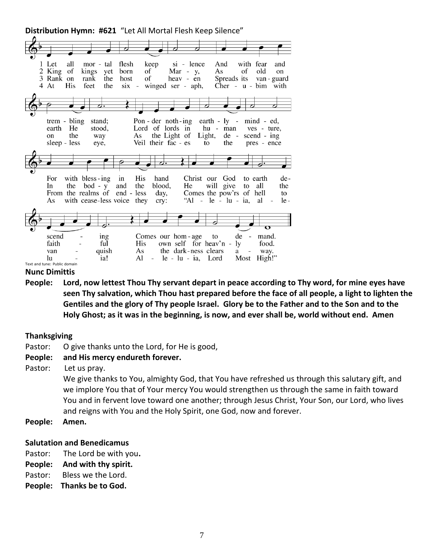

#### **Nunc Dimittis**

**People: Lord, now lettest Thou Thy servant depart in peace according to Thy word, for mine eyes have seen Thy salvation, which Thou hast prepared before the face of all people, a light to lighten the Gentiles and the glory of Thy people Israel. Glory be to the Father and to the Son and to the Holy Ghost; as it was in the beginning, is now, and ever shall be, world without end. Amen**

#### **Thanksgiving**

Pastor: O give thanks unto the Lord, for He is good,

#### **People: and His mercy endureth forever.**

Pastor: Let us pray.

We give thanks to You, almighty God, that You have refreshed us through this salutary gift, and we implore You that of Your mercy You would strengthen us through the same in faith toward You and in fervent love toward one another; through Jesus Christ, Your Son, our Lord, who lives and reigns with You and the Holy Spirit, one God, now and forever.

**People: Amen.**

#### **Salutation and Benedicamus**

- Pastor: The Lord be with you**.**
- **People: And with thy spirit.**
- Pastor: Bless we the Lord.
- **People: Thanks be to God.**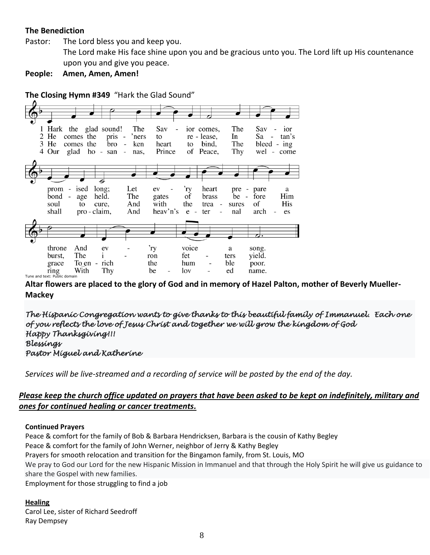# **The Benediction**

Pastor: The Lord bless you and keep you.

The Lord make His face shine upon you and be gracious unto you. The Lord lift up His countenance upon you and give you peace.

**People: Amen, Amen, Amen!**

**The Closing Hymn #349** "Hark the Glad Sound"



**Altar flowers are placed to the glory of God and in memory of Hazel Palton, mother of Beverly Mueller-Mackey**

*The Hispanic Congregation wants to give thanks to this beautiful family of Immanuel. Each one of you reflects the love of Jesus Christ and together we will grow the kingdom of God Happy Thanksgiving!!! Blessings Pastor Miguel and Katherine* 

*Services will be live-streamed and a recording of service will be posted by the end of the day.* 

# *Please keep the church office updated on prayers that have been asked to be kept on indefinitely, military and ones for continued healing or cancer treatments.*

#### **Continued Prayers**

Peace & comfort for the family of Bob & Barbara Hendricksen, Barbara is the cousin of Kathy Begley Peace & comfort for the family of John Werner, neighbor of Jerry & Kathy Begley Prayers for smooth relocation and transition for the Bingamon family, from St. Louis, MO We pray to God our Lord for the new Hispanic Mission in Immanuel and that through the Holy Spirit he will give us guidance to share the Gospel with new families. Employment for those struggling to find a job

#### **Healing**

Carol Lee, sister of Richard Seedroff Ray Dempsey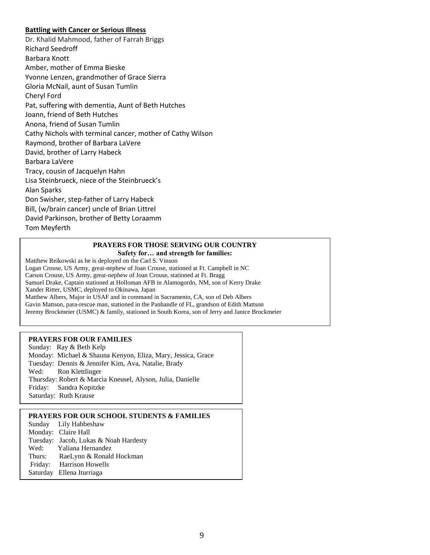#### **Battling with Cancer or Serious Illness**

Dr. Khalid Mahmood, father of Farrah Briggs Richard Seedroff Barbara Knott Amber, mother of Emma Bieske Yvonne Lenzen, grandmother of Grace Sierra Gloria McNail, aunt of Susan Tumlin Cheryl Ford Pat, suffering with dementia, Aunt of Beth Hutches Joann, friend of Beth Hutches Anona, friend of Susan Tumlin Cathy Nichols with terminal cancer, mother of Cathy Wilson Raymond, brother of Barbara LaVere David, brother of Larry Habeck Barbara LaVere Tracy, cousin of Jacquelyn Hahn Lisa Steinbrueck, niece of the Steinbrueck's Alan Sparks Don Swisher, step-father of Larry Habeck Bill, (w/brain cancer) uncle of Brian Littrel David Parkinson, brother of Betty Loraamm Tom Meyferth

> **PRAYERS FOR THOSE SERVING OUR COUNTRY Safety for… and strength for families:**

Matthew Reikowski as he is deployed on the Carl S. Vinson Logan Crouse, US Army, great-nephew of Joan Crouse, stationed at Ft. Campbell in NC Carson Crouse, US Army, great-nephew of Joan Crouse, stationed at Ft. Bragg Samuel Drake, Captain stationed at Holloman AFB in Alamogordo, NM, son of Kerry Drake Xander Ritter, USMC, deployed to Okinawa, Japan Matthew Albers, Major in USAF and in command in Sacramento, CA, son of Deb Albers Gavin Mattson, para-rescue man, stationed in the Panhandle of FL, grandson of Edith Mattson Jeremy Brockmeier (USMC) & family, stationed in South Korea, son of Jerry and Janice Brockmeier

#### **PRAYERS FOR OUR FAMILIES**

Sunday: Ray & Beth Kelp Monday: Michael & Shauna Kenyon, Eliza, Mary, Jessica, Grace Tuesday: Dennis & Jennifer Kim, Ava, Natalie, Brady Wed: Ron Klettlinger Thursday: Robert & Marcia Kneusel, Alyson, Julia, Danielle Friday: Sandra Kopitzke Saturday: Ruth Krause

#### **PRAYERS FOR OUR SCHOOL STUDENTS & FAMILIES**

|        | Sunday Lily Habbeshaw                 |
|--------|---------------------------------------|
|        | Monday: Claire Hall                   |
|        | Tuesday: Jacob, Lukas & Noah Hardesty |
| Wed:   | Yaliana Hernandez                     |
| Thurs: | RaeLynn & Ronald Hockman              |
|        | Friday: Harrison Howells              |
|        | Saturday Ellena Iturriaga             |